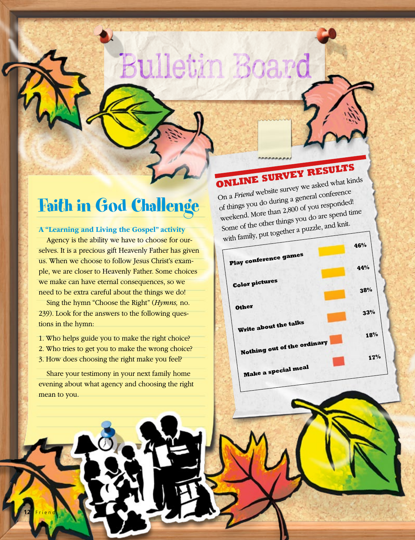## Faith in God Challenge

#### **A "Learning and Living the Gospel" activity**

Agency is the ability we have to choose for ourselves. It is a precious gift Heavenly Father has given us. When we choose to follow Jesus Christ's example, we are closer to Heavenly Father. Some choices we make can have eternal consequences, so we need to be extra careful about the things we do!

Sing the hymn "Choose the Right" (*Hymns,* no. 239). Look for the answers to the following questions in the hymn:

1. Who helps guide you to make the right choice? 2. Who tries to get you to make the wrong choice? 3. How does choosing the right make you feel?

Share your testimony in your next family home evening about what agency and choosing the right mean to you.

**12** Friend

**ONLINE SURVEY RESULTS**

Bulletin Board

On a *Friend* website survey we asked what kinds of things you do during a general conference weekend. More than 2,800 of you responded! Some of the other things you do are spend time with family, put together a puzzle, and knit.